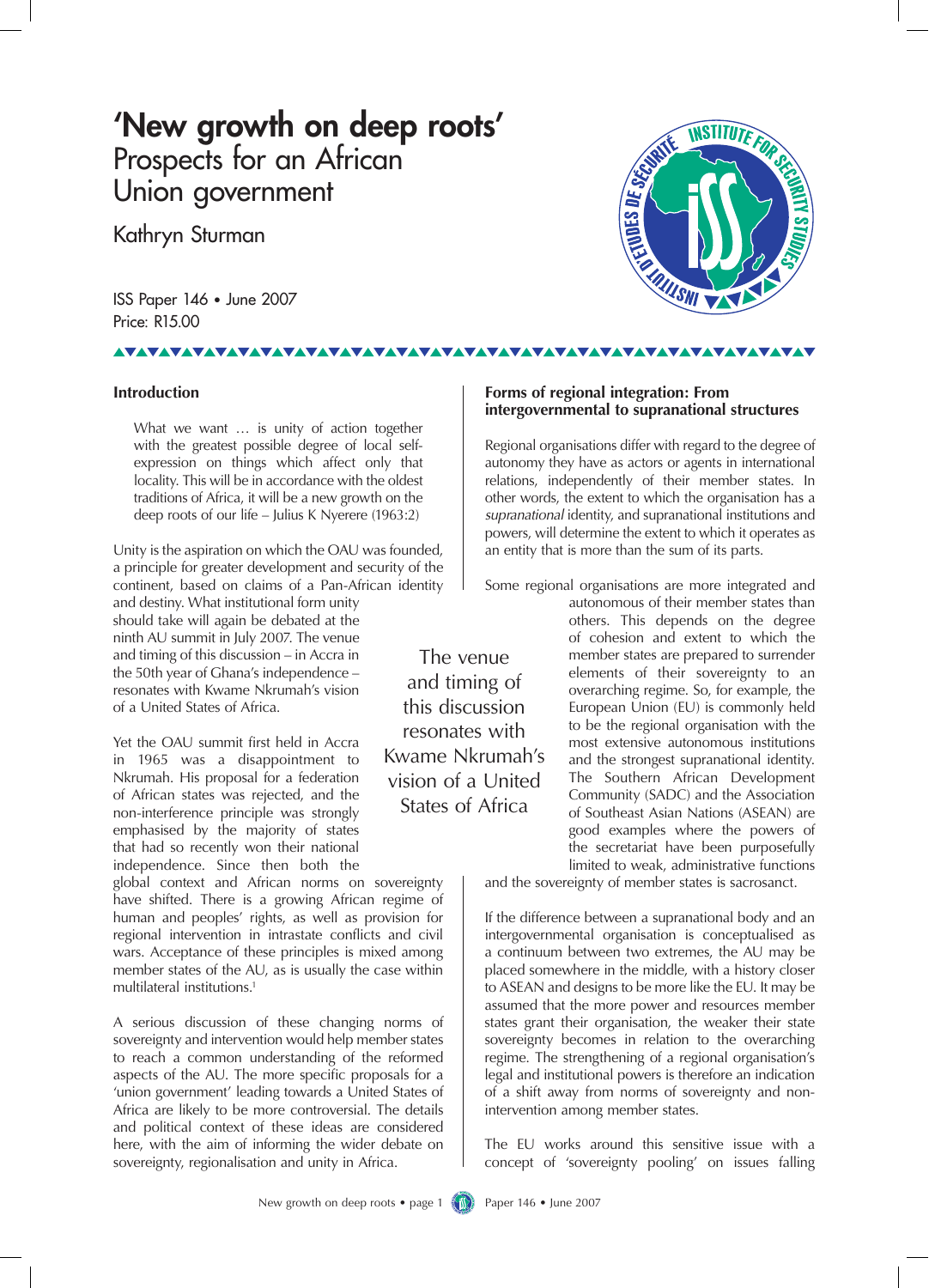### 'New growth on deep roots' Prospects for an African Union government

Kathryn Sturman

ISS Paper 146 • June 2007 Price: R15.00



#### **Introduction**

**VAVAVAVA** 

What we want … is unity of action together with the greatest possible degree of local selfexpression on things which affect only that locality. This will be in accordance with the oldest traditions of Africa, it will be a new growth on the deep roots of our life – Julius K Nyerere (1963:2)

Unity is the aspiration on which the OAU was founded, a principle for greater development and security of the continent, based on claims of a Pan-African identity

and destiny. What institutional form unity should take will again be debated at the ninth AU summit in July 2007. The venue and timing of this discussion – in Accra in the 50th year of Ghana's independence – resonates with Kwame Nkrumah's vision of a United States of Africa.

Yet the OAU summit first held in Accra in 1965 was a disappointment to Nkrumah. His proposal for a federation of African states was rejected, and the non-interference principle was strongly emphasised by the majority of states that had so recently won their national independence. Since then both the

global context and African norms on sovereignty have shifted. There is a growing African regime of human and peoples' rights, as well as provision for regional intervention in intrastate conflicts and civil wars. Acceptance of these principles is mixed among member states of the AU, as is usually the case within multilateral institutions.1

A serious discussion of these changing norms of sovereignty and intervention would help member states to reach a common understanding of the reformed aspects of the AU. The more specific proposals for a 'union government' leading towards a United States of Africa are likely to be more controversial. The details and political context of these ideas are considered here, with the aim of informing the wider debate on sovereignty, regionalisation and unity in Africa.

**Forms of regional integration: From intergovernmental to supranational structures** 

Regional organisations differ with regard to the degree of autonomy they have as actors or agents in international relations, independently of their member states. In other words, the extent to which the organisation has a *supranational* identity, and supranational institutions and powers, will determine the extent to which it operates as an entity that is more than the sum of its parts.

Some regional organisations are more integrated and

The venue and timing of this discussion resonates with Kwame Nkrumah's vision of a United States of Africa

autonomous of their member states than others. This depends on the degree of cohesion and extent to which the member states are prepared to surrender elements of their sovereignty to an overarching regime. So, for example, the European Union (EU) is commonly held to be the regional organisation with the most extensive autonomous institutions and the strongest supranational identity. The Southern African Development Community (SADC) and the Association of Southeast Asian Nations (ASEAN) are good examples where the powers of the secretariat have been purposefully limited to weak, administrative functions

and the sovereignty of member states is sacrosanct.

If the difference between a supranational body and an intergovernmental organisation is conceptualised as a continuum between two extremes, the AU may be placed somewhere in the middle, with a history closer to ASEAN and designs to be more like the EU. It may be assumed that the more power and resources member states grant their organisation, the weaker their state sovereignty becomes in relation to the overarching regime. The strengthening of a regional organisation's legal and institutional powers is therefore an indication of a shift away from norms of sovereignty and nonintervention among member states.

The EU works around this sensitive issue with a concept of 'sovereignty pooling' on issues falling

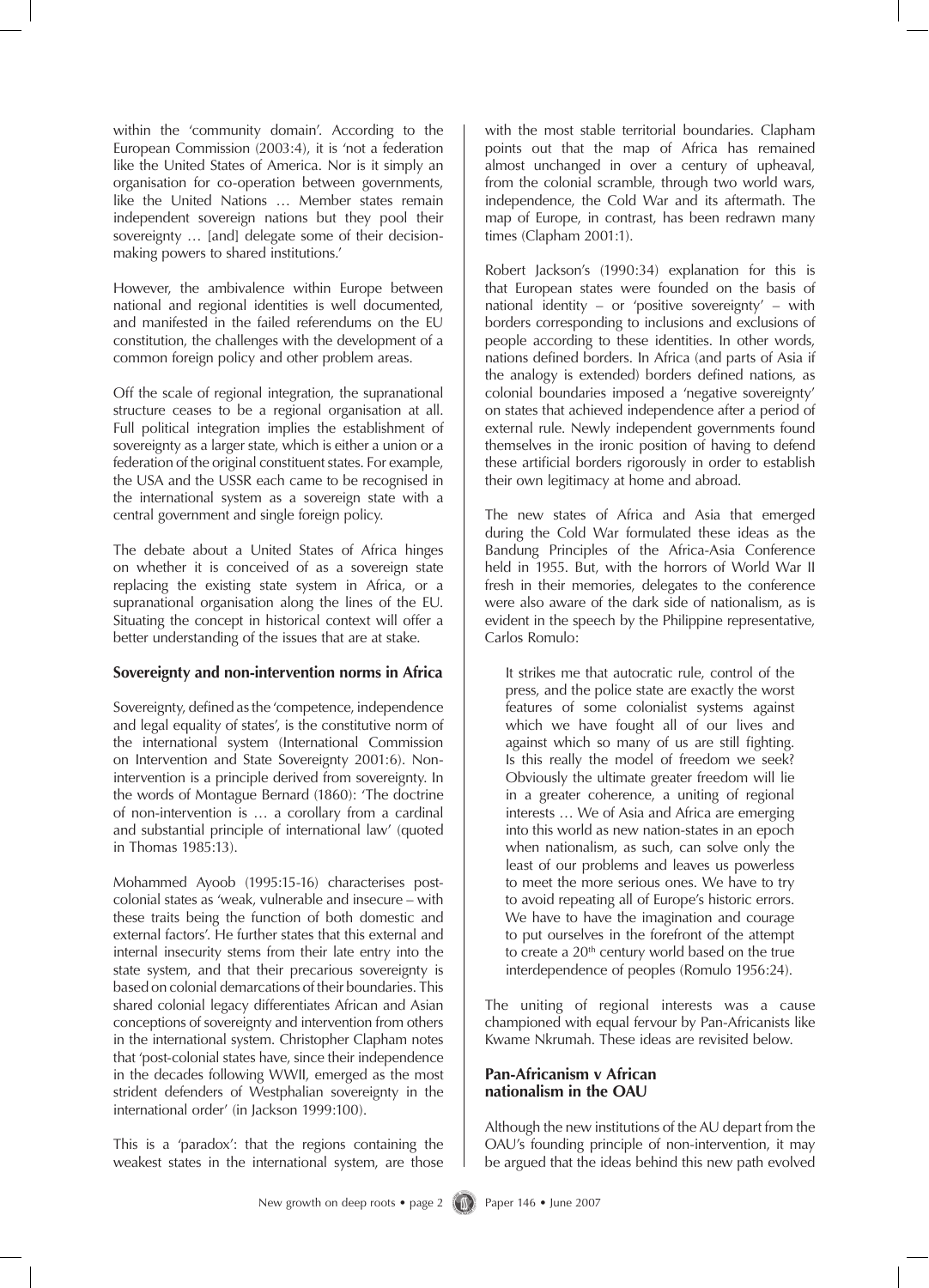within the 'community domain'. According to the European Commission (2003:4), it is 'not a federation like the United States of America. Nor is it simply an organisation for co-operation between governments, like the United Nations … Member states remain independent sovereign nations but they pool their sovereignty … [and] delegate some of their decisionmaking powers to shared institutions.'

However, the ambivalence within Europe between national and regional identities is well documented, and manifested in the failed referendums on the EU constitution, the challenges with the development of a common foreign policy and other problem areas.

Off the scale of regional integration, the supranational structure ceases to be a regional organisation at all. Full political integration implies the establishment of sovereignty as a larger state, which is either a union or a federation of the original constituent states. For example, the USA and the USSR each came to be recognised in the international system as a sovereign state with a central government and single foreign policy.

The debate about a United States of Africa hinges on whether it is conceived of as a sovereign state replacing the existing state system in Africa, or a supranational organisation along the lines of the EU. Situating the concept in historical context will offer a better understanding of the issues that are at stake.

#### **Sovereignty and non-intervention norms in Africa**

Sovereignty, defined asthe 'competence, independence and legal equality of states', is the constitutive norm of the international system (International Commission on Intervention and State Sovereignty 2001:6). Nonintervention is a principle derived from sovereignty. In the words of Montague Bernard (1860): 'The doctrine of non-intervention is … a corollary from a cardinal and substantial principle of international law' (quoted in Thomas 1985:13).

Mohammed Ayoob (1995:15-16) characterises postcolonial states as 'weak, vulnerable and insecure – with these traits being the function of both domestic and external factors'. He further states that this external and internal insecurity stems from their late entry into the state system, and that their precarious sovereignty is based on colonial demarcations of their boundaries. This shared colonial legacy differentiates African and Asian conceptions of sovereignty and intervention from others in the international system. Christopher Clapham notes that 'post-colonial states have, since their independence in the decades following WWII, emerged as the most strident defenders of Westphalian sovereignty in the international order' (in Jackson 1999:100).

This is a 'paradox': that the regions containing the weakest states in the international system, are those with the most stable territorial boundaries. Clapham points out that the map of Africa has remained almost unchanged in over a century of upheaval, from the colonial scramble, through two world wars, independence, the Cold War and its aftermath. The map of Europe, in contrast, has been redrawn many times (Clapham 2001:1).

Robert Jackson's (1990:34) explanation for this is that European states were founded on the basis of national identity – or 'positive sovereignty' – with borders corresponding to inclusions and exclusions of people according to these identities. In other words, nations defined borders. In Africa (and parts of Asia if the analogy is extended) borders defined nations, as colonial boundaries imposed a 'negative sovereignty' on states that achieved independence after a period of external rule. Newly independent governments found themselves in the ironic position of having to defend these artificial borders rigorously in order to establish their own legitimacy at home and abroad.

The new states of Africa and Asia that emerged during the Cold War formulated these ideas as the Bandung Principles of the Africa-Asia Conference held in 1955. But, with the horrors of World War II fresh in their memories, delegates to the conference were also aware of the dark side of nationalism, as is evident in the speech by the Philippine representative, Carlos Romulo:

It strikes me that autocratic rule, control of the press, and the police state are exactly the worst features of some colonialist systems against which we have fought all of our lives and against which so many of us are still fighting. Is this really the model of freedom we seek? Obviously the ultimate greater freedom will lie in a greater coherence, a uniting of regional interests … We of Asia and Africa are emerging into this world as new nation-states in an epoch when nationalism, as such, can solve only the least of our problems and leaves us powerless to meet the more serious ones. We have to try to avoid repeating all of Europe's historic errors. We have to have the imagination and courage to put ourselves in the forefront of the attempt to create a  $20<sup>th</sup>$  century world based on the true interdependence of peoples (Romulo 1956:24).

The uniting of regional interests was a cause championed with equal fervour by Pan-Africanists like Kwame Nkrumah. These ideas are revisited below.

#### **Pan-Africanism v African nationalism in the OAU**

Although the new institutions of the AU depart from the OAU's founding principle of non-intervention, it may be argued that the ideas behind this new path evolved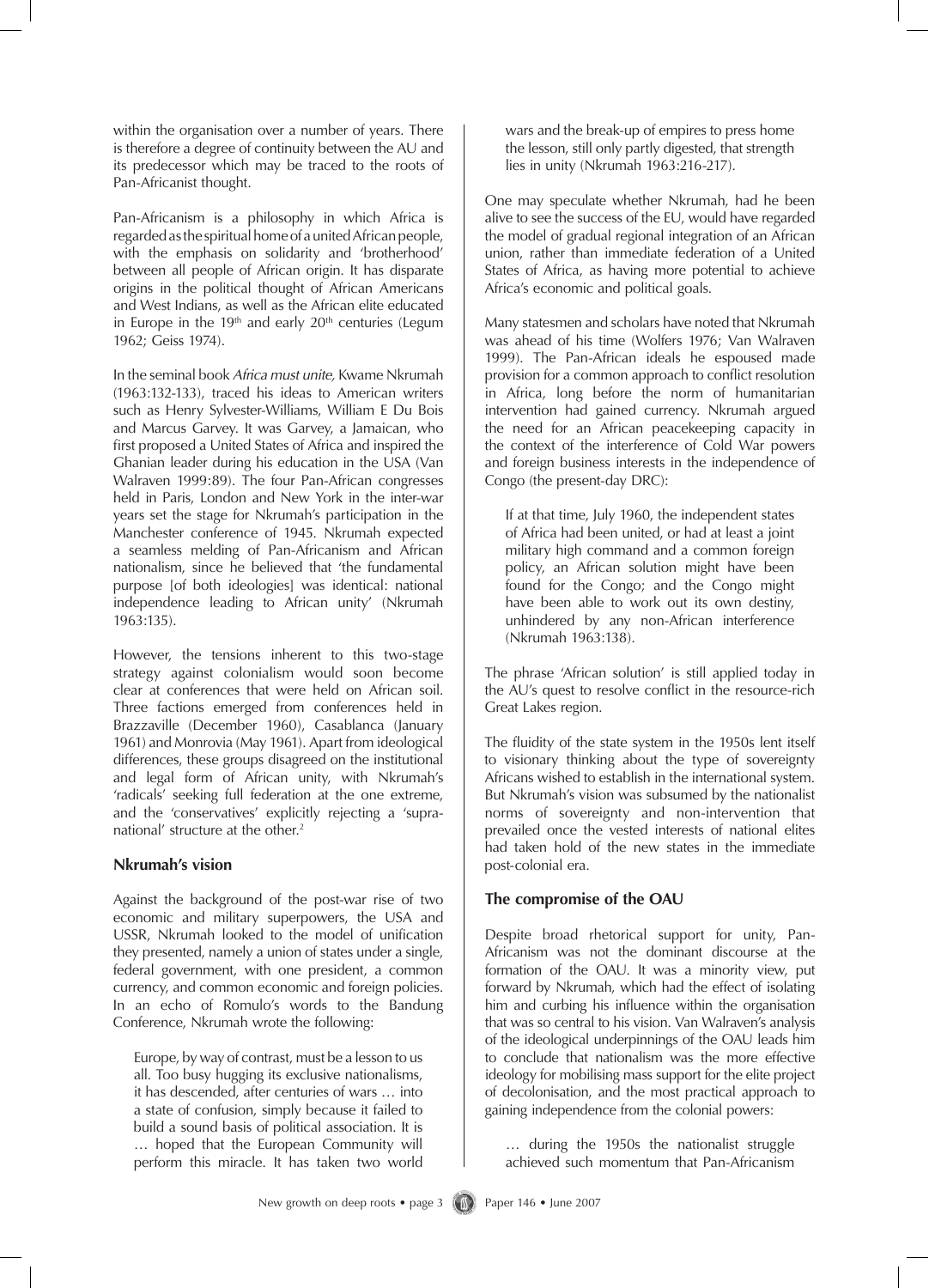within the organisation over a number of years. There is therefore a degree of continuity between the AU and its predecessor which may be traced to the roots of Pan-Africanist thought.

Pan-Africanism is a philosophy in which Africa is regarded as the spiritual home of a united African people, with the emphasis on solidarity and 'brotherhood' between all people of African origin. It has disparate origins in the political thought of African Americans and West Indians, as well as the African elite educated in Europe in the  $19<sup>th</sup>$  and early  $20<sup>th</sup>$  centuries (Legum 1962; Geiss 1974).

In the seminal book *Africa must unite,* Kwame Nkrumah (1963:132-133), traced his ideas to American writers such as Henry Sylvester-Williams, William E Du Bois and Marcus Garvey. It was Garvey, a Jamaican, who first proposed a United States of Africa and inspired the Ghanian leader during his education in the USA (Van Walraven 1999:89). The four Pan-African congresses held in Paris, London and New York in the inter-war years set the stage for Nkrumah's participation in the Manchester conference of 1945. Nkrumah expected a seamless melding of Pan-Africanism and African nationalism, since he believed that 'the fundamental purpose [of both ideologies] was identical: national independence leading to African unity' (Nkrumah 1963:135).

However, the tensions inherent to this two-stage strategy against colonialism would soon become clear at conferences that were held on African soil. Three factions emerged from conferences held in Brazzaville (December 1960), Casablanca (January 1961) and Monrovia (May 1961). Apart from ideological differences, these groups disagreed on the institutional and legal form of African unity, with Nkrumah's 'radicals' seeking full federation at the one extreme, and the 'conservatives' explicitly rejecting a 'supranational' structure at the other.<sup>2</sup>

#### **Nkrumah's vision**

Against the background of the post-war rise of two economic and military superpowers, the USA and USSR, Nkrumah looked to the model of unification they presented, namely a union of states under a single, federal government, with one president, a common currency, and common economic and foreign policies. In an echo of Romulo's words to the Bandung Conference, Nkrumah wrote the following:

Europe, by way of contrast, must be a lesson to us all. Too busy hugging its exclusive nationalisms, it has descended, after centuries of wars … into a state of confusion, simply because it failed to build a sound basis of political association. It is … hoped that the European Community will perform this miracle. It has taken two world

wars and the break-up of empires to press home the lesson, still only partly digested, that strength lies in unity (Nkrumah 1963:216-217).

One may speculate whether Nkrumah, had he been alive to see the success of the EU, would have regarded the model of gradual regional integration of an African union, rather than immediate federation of a United States of Africa, as having more potential to achieve Africa's economic and political goals.

Many statesmen and scholars have noted that Nkrumah was ahead of his time (Wolfers 1976; Van Walraven 1999). The Pan-African ideals he espoused made provision for a common approach to conflict resolution in Africa, long before the norm of humanitarian intervention had gained currency. Nkrumah argued the need for an African peacekeeping capacity in the context of the interference of Cold War powers and foreign business interests in the independence of Congo (the present-day DRC):

If at that time, July 1960, the independent states of Africa had been united, or had at least a joint military high command and a common foreign policy, an African solution might have been found for the Congo; and the Congo might have been able to work out its own destiny, unhindered by any non-African interference (Nkrumah 1963:138).

The phrase 'African solution' is still applied today in the AU's quest to resolve conflict in the resource-rich Great Lakes region.

The fluidity of the state system in the 1950s lent itself to visionary thinking about the type of sovereignty Africans wished to establish in the international system. But Nkrumah's vision was subsumed by the nationalist norms of sovereignty and non-intervention that prevailed once the vested interests of national elites had taken hold of the new states in the immediate post-colonial era.

#### **The compromise of the OAU**

Despite broad rhetorical support for unity, Pan-Africanism was not the dominant discourse at the formation of the OAU. It was a minority view, put forward by Nkrumah, which had the effect of isolating him and curbing his influence within the organisation that was so central to his vision. Van Walraven's analysis of the ideological underpinnings of the OAU leads him to conclude that nationalism was the more effective ideology for mobilising mass support for the elite project of decolonisation, and the most practical approach to gaining independence from the colonial powers:

… during the 1950s the nationalist struggle achieved such momentum that Pan-Africanism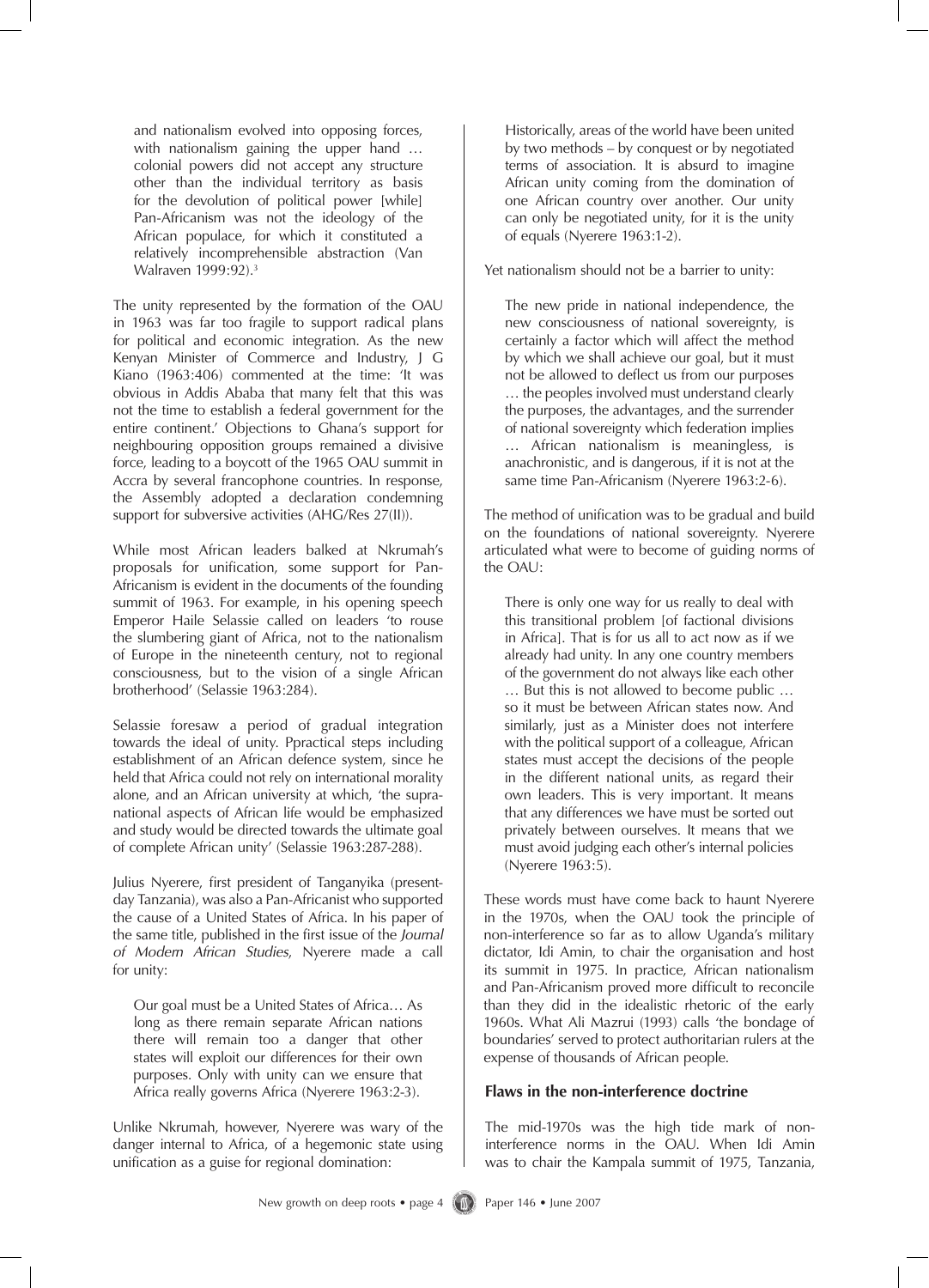and nationalism evolved into opposing forces, with nationalism gaining the upper hand ... colonial powers did not accept any structure other than the individual territory as basis for the devolution of political power [while] Pan-Africanism was not the ideology of the African populace, for which it constituted a relatively incomprehensible abstraction (Van Walraven 1999:92).3

The unity represented by the formation of the OAU in 1963 was far too fragile to support radical plans for political and economic integration. As the new Kenyan Minister of Commerce and Industry, J G Kiano (1963:406) commented at the time: 'It was obvious in Addis Ababa that many felt that this was not the time to establish a federal government for the entire continent.' Objections to Ghana's support for neighbouring opposition groups remained a divisive force, leading to a boycott of the 1965 OAU summit in Accra by several francophone countries. In response, the Assembly adopted a declaration condemning support for subversive activities (AHG/Res 27(II)).

While most African leaders balked at Nkrumah's proposals for unification, some support for Pan-Africanism is evident in the documents of the founding summit of 1963. For example, in his opening speech Emperor Haile Selassie called on leaders 'to rouse the slumbering giant of Africa, not to the nationalism of Europe in the nineteenth century, not to regional consciousness, but to the vision of a single African brotherhood' (Selassie 1963:284).

Selassie foresaw a period of gradual integration towards the ideal of unity. Ppractical steps including establishment of an African defence system, since he held that Africa could not rely on international morality alone, and an African university at which, 'the supranational aspects of African life would be emphasized and study would be directed towards the ultimate goal of complete African unity' (Selassie 1963:287-288).

Julius Nyerere, first president of Tanganyika (presentday Tanzania), was also a Pan-Africanist who supported the cause of a United States of Africa. In his paper of the same title, published in the first issue of the *Journal of Modern African Studies*, Nyerere made a call for unity:

Our goal must be a United States of Africa… As long as there remain separate African nations there will remain too a danger that other states will exploit our differences for their own purposes. Only with unity can we ensure that Africa really governs Africa (Nyerere 1963:2-3).

Unlike Nkrumah, however, Nyerere was wary of the danger internal to Africa, of a hegemonic state using unification as a guise for regional domination:

Historically, areas of the world have been united by two methods – by conquest or by negotiated terms of association. It is absurd to imagine African unity coming from the domination of one African country over another. Our unity can only be negotiated unity, for it is the unity of equals (Nyerere 1963:1-2).

Yet nationalism should not be a barrier to unity:

The new pride in national independence, the new consciousness of national sovereignty, is certainly a factor which will affect the method by which we shall achieve our goal, but it must not be allowed to deflect us from our purposes … the peoples involved must understand clearly the purposes, the advantages, and the surrender of national sovereignty which federation implies … African nationalism is meaningless, is anachronistic, and is dangerous, if it is not at the same time Pan-Africanism (Nyerere 1963:2-6).

The method of unification was to be gradual and build on the foundations of national sovereignty. Nyerere articulated what were to become of guiding norms of the OAU:

There is only one way for us really to deal with this transitional problem [of factional divisions in Africa]. That is for us all to act now as if we already had unity. In any one country members of the government do not always like each other … But this is not allowed to become public … so it must be between African states now. And similarly, just as a Minister does not interfere with the political support of a colleague, African states must accept the decisions of the people in the different national units, as regard their own leaders. This is very important. It means that any differences we have must be sorted out privately between ourselves. It means that we must avoid judging each other's internal policies (Nyerere 1963:5).

These words must have come back to haunt Nyerere in the 1970s, when the OAU took the principle of non-interference so far as to allow Uganda's military dictator, Idi Amin, to chair the organisation and host its summit in 1975. In practice, African nationalism and Pan-Africanism proved more difficult to reconcile than they did in the idealistic rhetoric of the early 1960s. What Ali Mazrui (1993) calls 'the bondage of boundaries' served to protect authoritarian rulers at the expense of thousands of African people.

#### **Flaws in the non-interference doctrine**

The mid-1970s was the high tide mark of noninterference norms in the OAU. When Idi Amin was to chair the Kampala summit of 1975, Tanzania,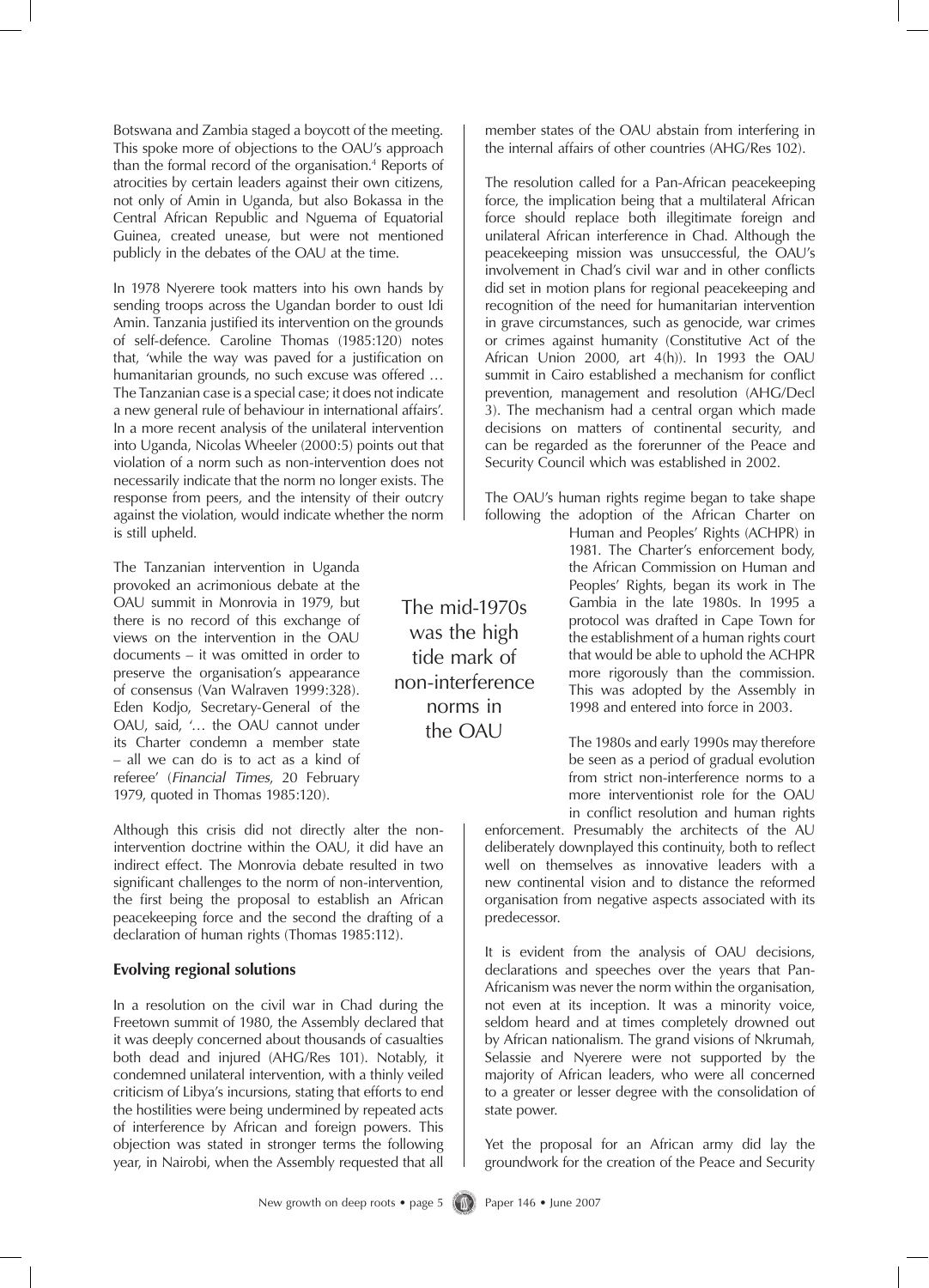Botswana and Zambia staged a boycott of the meeting. This spoke more of objections to the OAU's approach than the formal record of the organisation.<sup>4</sup> Reports of atrocities by certain leaders against their own citizens, not only of Amin in Uganda, but also Bokassa in the Central African Republic and Nguema of Equatorial Guinea, created unease, but were not mentioned publicly in the debates of the OAU at the time.

In 1978 Nyerere took matters into his own hands by sending troops across the Ugandan border to oust Idi Amin. Tanzania justified its intervention on the grounds of self-defence. Caroline Thomas (1985:120) notes that, 'while the way was paved for a justification on humanitarian grounds, no such excuse was offered … The Tanzanian case is a special case; it does not indicate a new general rule of behaviour in international affairs'. In a more recent analysis of the unilateral intervention into Uganda, Nicolas Wheeler (2000:5) points out that violation of a norm such as non-intervention does not necessarily indicate that the norm no longer exists. The response from peers, and the intensity of their outcry against the violation, would indicate whether the norm is still upheld.

The Tanzanian intervention in Uganda provoked an acrimonious debate at the OAU summit in Monrovia in 1979, but there is no record of this exchange of views on the intervention in the OAU documents – it was omitted in order to preserve the organisation's appearance of consensus (Van Walraven 1999:328). Eden Kodjo, Secretary-General of the OAU, said, '… the OAU cannot under its Charter condemn a member state – all we can do is to act as a kind of referee' (*Financial Times*, 20 February 1979, quoted in Thomas 1985:120).

Although this crisis did not directly alter the nonintervention doctrine within the OAU, it did have an indirect effect. The Monrovia debate resulted in two significant challenges to the norm of non-intervention, the first being the proposal to establish an African peacekeeping force and the second the drafting of a declaration of human rights (Thomas 1985:112).

#### **Evolving regional solutions**

In a resolution on the civil war in Chad during the Freetown summit of 1980, the Assembly declared that it was deeply concerned about thousands of casualties both dead and injured (AHG/Res 101). Notably, it condemned unilateral intervention, with a thinly veiled criticism of Libya's incursions, stating that efforts to end the hostilities were being undermined by repeated acts of interference by African and foreign powers. This objection was stated in stronger terms the following year, in Nairobi, when the Assembly requested that all member states of the OAU abstain from interfering in the internal affairs of other countries (AHG/Res 102).

The resolution called for a Pan-African peacekeeping force, the implication being that a multilateral African force should replace both illegitimate foreign and unilateral African interference in Chad. Although the peacekeeping mission was unsuccessful, the OAU's involvement in Chad's civil war and in other conflicts did set in motion plans for regional peacekeeping and recognition of the need for humanitarian intervention in grave circumstances, such as genocide, war crimes or crimes against humanity (Constitutive Act of the African Union 2000, art 4(h)). In 1993 the OAU summit in Cairo established a mechanism for conflict prevention, management and resolution (AHG/Decl 3). The mechanism had a central organ which made decisions on matters of continental security, and can be regarded as the forerunner of the Peace and Security Council which was established in 2002.

The OAU's human rights regime began to take shape following the adoption of the African Charter on

> Human and Peoples' Rights (ACHPR) in 1981. The Charter's enforcement body, the African Commission on Human and Peoples' Rights, began its work in The Gambia in the late 1980s. In 1995 a protocol was drafted in Cape Town for the establishment of a human rights court that would be able to uphold the ACHPR more rigorously than the commission. This was adopted by the Assembly in 1998 and entered into force in 2003.

> The 1980s and early 1990s may therefore be seen as a period of gradual evolution from strict non-interference norms to a more interventionist role for the OAU in conflict resolution and human rights

enforcement. Presumably the architects of the AU deliberately downplayed this continuity, both to reflect well on themselves as innovative leaders with a new continental vision and to distance the reformed organisation from negative aspects associated with its predecessor.

It is evident from the analysis of OAU decisions, declarations and speeches over the years that Pan-Africanism was never the norm within the organisation, not even at its inception. It was a minority voice, seldom heard and at times completely drowned out by African nationalism. The grand visions of Nkrumah, Selassie and Nyerere were not supported by the majority of African leaders, who were all concerned to a greater or lesser degree with the consolidation of state power.

Yet the proposal for an African army did lay the groundwork for the creation of the Peace and Security

The mid-1970s was the high tide mark of non-interference norms in the OAU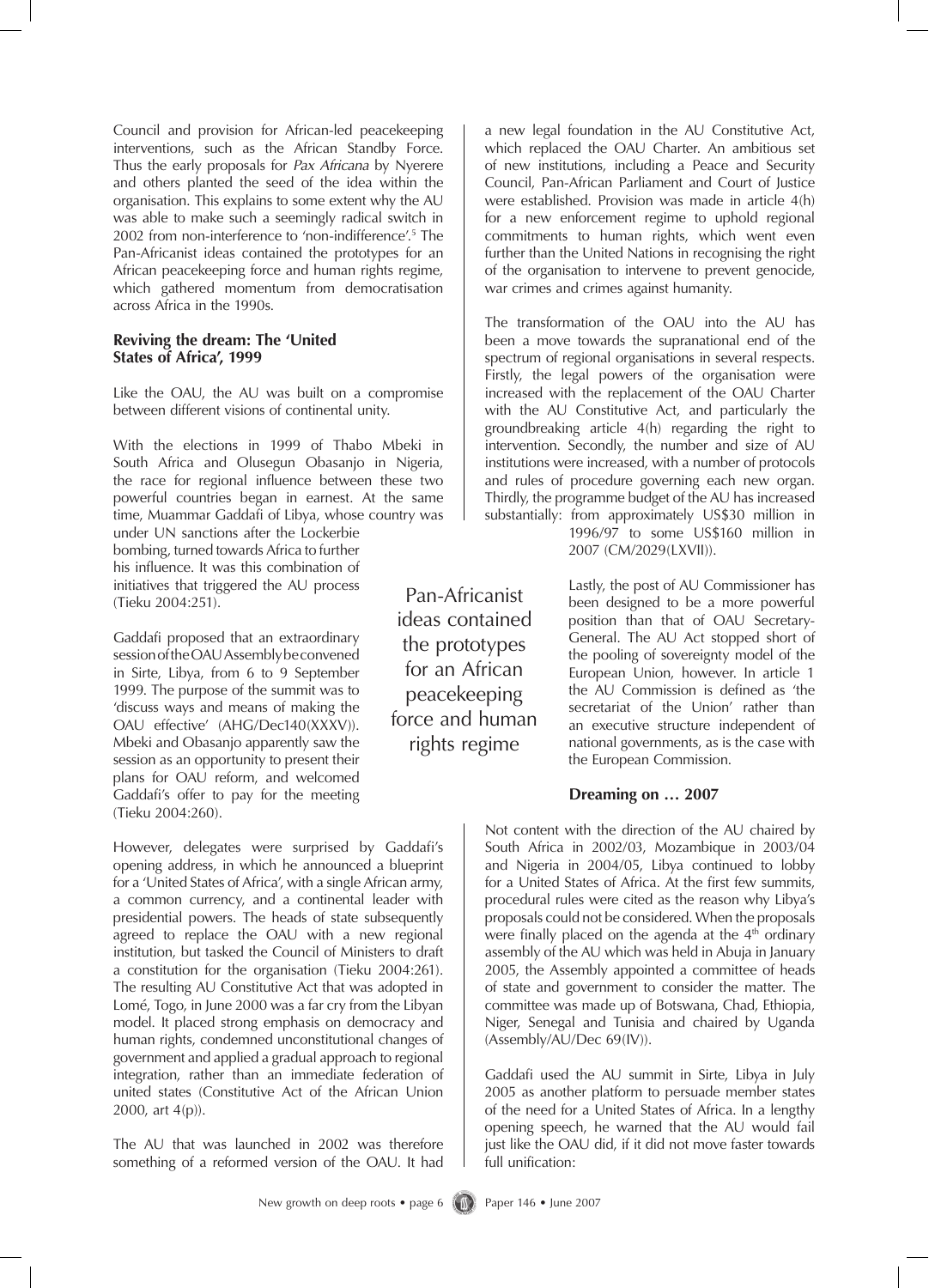Council and provision for African-led peacekeeping interventions, such as the African Standby Force. Thus the early proposals for *Pax Africana* by Nyerere and others planted the seed of the idea within the organisation. This explains to some extent why the AU was able to make such a seemingly radical switch in 2002 from non-interference to 'non-indifference'.<sup>5</sup> The Pan-Africanist ideas contained the prototypes for an African peacekeeping force and human rights regime, which gathered momentum from democratisation across Africa in the 1990s.

#### **Reviving the dream: The 'United States of Africa', 1999**

Like the OAU, the AU was built on a compromise between different visions of continental unity.

With the elections in 1999 of Thabo Mbeki in South Africa and Olusegun Obasanjo in Nigeria, the race for regional influence between these two powerful countries began in earnest. At the same time, Muammar Gaddafi of Libya, whose country was

under UN sanctions after the Lockerbie bombing, turned towards Africa to further his influence. It was this combination of initiatives that triggered the AU process (Tieku 2004:251).

Gaddafi proposed that an extraordinary session of the OAU Assembly be convened in Sirte, Libya, from 6 to 9 September 1999. The purpose of the summit was to 'discuss ways and means of making the OAU effective' (AHG/Dec140(XXXV)). Mbeki and Obasanjo apparently saw the session as an opportunity to present their plans for OAU reform, and welcomed Gaddafi's offer to pay for the meeting (Tieku 2004:260).

However, delegates were surprised by Gaddafi's opening address, in which he announced a blueprint for a 'United States of Africa', with a single African army, a common currency, and a continental leader with presidential powers. The heads of state subsequently agreed to replace the OAU with a new regional institution, but tasked the Council of Ministers to draft a constitution for the organisation (Tieku 2004:261). The resulting AU Constitutive Act that was adopted in Lomé, Togo, in June 2000 was a far cry from the Libyan model. It placed strong emphasis on democracy and human rights, condemned unconstitutional changes of government and applied a gradual approach to regional integration, rather than an immediate federation of united states (Constitutive Act of the African Union 2000, art 4(p)).

The AU that was launched in 2002 was therefore something of a reformed version of the OAU. It had a new legal foundation in the AU Constitutive Act, which replaced the OAU Charter. An ambitious set of new institutions, including a Peace and Security Council, Pan-African Parliament and Court of Justice were established. Provision was made in article 4(h) for a new enforcement regime to uphold regional commitments to human rights, which went even further than the United Nations in recognising the right of the organisation to intervene to prevent genocide, war crimes and crimes against humanity.

The transformation of the OAU into the AU has been a move towards the supranational end of the spectrum of regional organisations in several respects. Firstly, the legal powers of the organisation were increased with the replacement of the OAU Charter with the AU Constitutive Act, and particularly the groundbreaking article 4(h) regarding the right to intervention. Secondly, the number and size of AU institutions were increased, with a number of protocols and rules of procedure governing each new organ. Thirdly, the programme budget of the AU has increased substantially: from approximately US\$30 million in

1996/97 to some US\$160 million in 2007 (CM/2029(LXVII)).

Lastly, the post of AU Commissioner has been designed to be a more powerful position than that of OAU Secretary-General. The AU Act stopped short of the pooling of sovereignty model of the European Union, however. In article 1 the AU Commission is defined as 'the secretariat of the Union' rather than an executive structure independent of national governments, as is the case with the European Commission.

#### **Dreaming on … 2007**

Not content with the direction of the AU chaired by South Africa in 2002/03, Mozambique in 2003/04 and Nigeria in 2004/05, Libya continued to lobby for a United States of Africa. At the first few summits, procedural rules were cited as the reason why Libya's proposals could not be considered. When the proposals were finally placed on the agenda at the  $4<sup>th</sup>$  ordinary assembly of the AU which was held in Abuja in January 2005, the Assembly appointed a committee of heads of state and government to consider the matter. The committee was made up of Botswana, Chad, Ethiopia, Niger, Senegal and Tunisia and chaired by Uganda (Assembly/AU/Dec 69(IV)).

Gaddafi used the AU summit in Sirte, Libya in July 2005 as another platform to persuade member states of the need for a United States of Africa. In a lengthy opening speech, he warned that the AU would fail just like the OAU did, if it did not move faster towards full unification:

ideas contained the prototypes for an African peacekeeping force and human rights regime

Pan-Africanist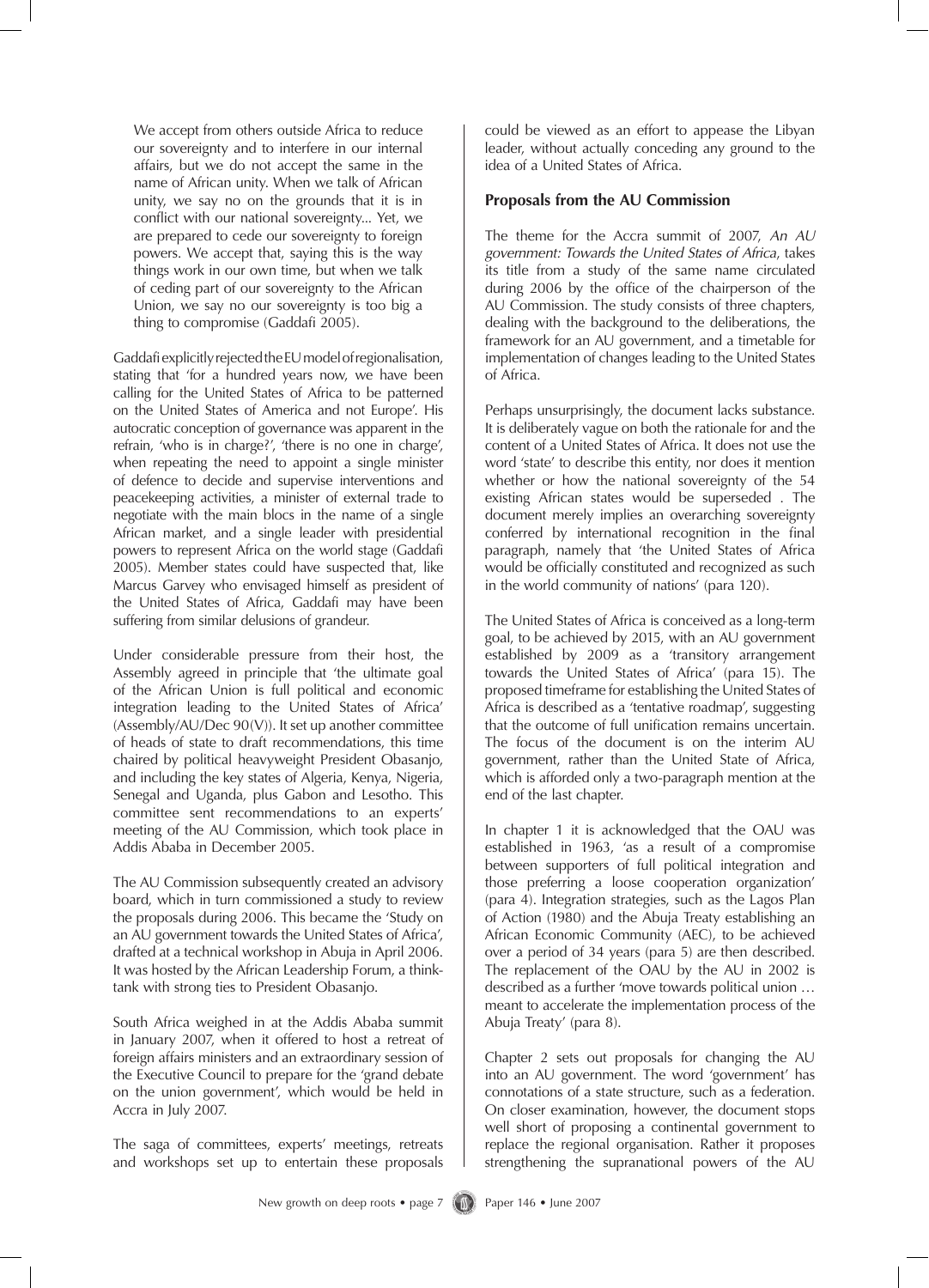We accept from others outside Africa to reduce our sovereignty and to interfere in our internal affairs, but we do not accept the same in the name of African unity. When we talk of African unity, we say no on the grounds that it is in conflict with our national sovereignty... Yet, we are prepared to cede our sovereignty to foreign powers. We accept that, saying this is the way things work in our own time, but when we talk of ceding part of our sovereignty to the African Union, we say no our sovereignty is too big a thing to compromise (Gaddafi 2005).

GaddafiexplicitlyrejectedtheEUmodelofregionalisation, stating that 'for a hundred years now, we have been calling for the United States of Africa to be patterned on the United States of America and not Europe'. His autocratic conception of governance was apparent in the refrain, 'who is in charge?', 'there is no one in charge', when repeating the need to appoint a single minister of defence to decide and supervise interventions and peacekeeping activities, a minister of external trade to negotiate with the main blocs in the name of a single African market, and a single leader with presidential powers to represent Africa on the world stage (Gaddafi 2005). Member states could have suspected that, like Marcus Garvey who envisaged himself as president of the United States of Africa, Gaddafi may have been suffering from similar delusions of grandeur.

Under considerable pressure from their host, the Assembly agreed in principle that 'the ultimate goal of the African Union is full political and economic integration leading to the United States of Africa' (Assembly/AU/Dec 90(V)). It set up another committee of heads of state to draft recommendations, this time chaired by political heavyweight President Obasanjo, and including the key states of Algeria, Kenya, Nigeria, Senegal and Uganda, plus Gabon and Lesotho. This committee sent recommendations to an experts' meeting of the AU Commission, which took place in Addis Ababa in December 2005.

The AU Commission subsequently created an advisory board, which in turn commissioned a study to review the proposals during 2006. This became the 'Study on an AU government towards the United States of Africa', drafted at a technical workshop in Abuja in April 2006. It was hosted by the African Leadership Forum, a thinktank with strong ties to President Obasanjo.

South Africa weighed in at the Addis Ababa summit in January 2007, when it offered to host a retreat of foreign affairs ministers and an extraordinary session of the Executive Council to prepare for the 'grand debate on the union government', which would be held in Accra in July 2007.

The saga of committees, experts' meetings, retreats and workshops set up to entertain these proposals could be viewed as an effort to appease the Libyan leader, without actually conceding any ground to the idea of a United States of Africa.

#### **Proposals from the AU Commission**

The theme for the Accra summit of 2007, *An AU government: Towards the United States of Africa*, takes its title from a study of the same name circulated during 2006 by the office of the chairperson of the AU Commission. The study consists of three chapters, dealing with the background to the deliberations, the framework for an AU government, and a timetable for implementation of changes leading to the United States of Africa.

Perhaps unsurprisingly, the document lacks substance. It is deliberately vague on both the rationale for and the content of a United States of Africa. It does not use the word 'state' to describe this entity, nor does it mention whether or how the national sovereignty of the 54 existing African states would be superseded . The document merely implies an overarching sovereignty conferred by international recognition in the final paragraph, namely that 'the United States of Africa would be officially constituted and recognized as such in the world community of nations' (para 120).

The United States of Africa is conceived as a long-term goal, to be achieved by 2015, with an AU government established by 2009 as a 'transitory arrangement towards the United States of Africa' (para 15). The proposed timeframe for establishing the United States of Africa is described as a 'tentative roadmap', suggesting that the outcome of full unification remains uncertain. The focus of the document is on the interim AU government, rather than the United State of Africa, which is afforded only a two-paragraph mention at the end of the last chapter.

In chapter 1 it is acknowledged that the OAU was established in 1963, 'as a result of a compromise between supporters of full political integration and those preferring a loose cooperation organization' (para 4). Integration strategies, such as the Lagos Plan of Action (1980) and the Abuja Treaty establishing an African Economic Community (AEC), to be achieved over a period of 34 years (para 5) are then described. The replacement of the OAU by the AU in 2002 is described as a further 'move towards political union … meant to accelerate the implementation process of the Abuja Treaty' (para 8).

Chapter 2 sets out proposals for changing the AU into an AU government. The word 'government' has connotations of a state structure, such as a federation. On closer examination, however, the document stops well short of proposing a continental government to replace the regional organisation. Rather it proposes strengthening the supranational powers of the AU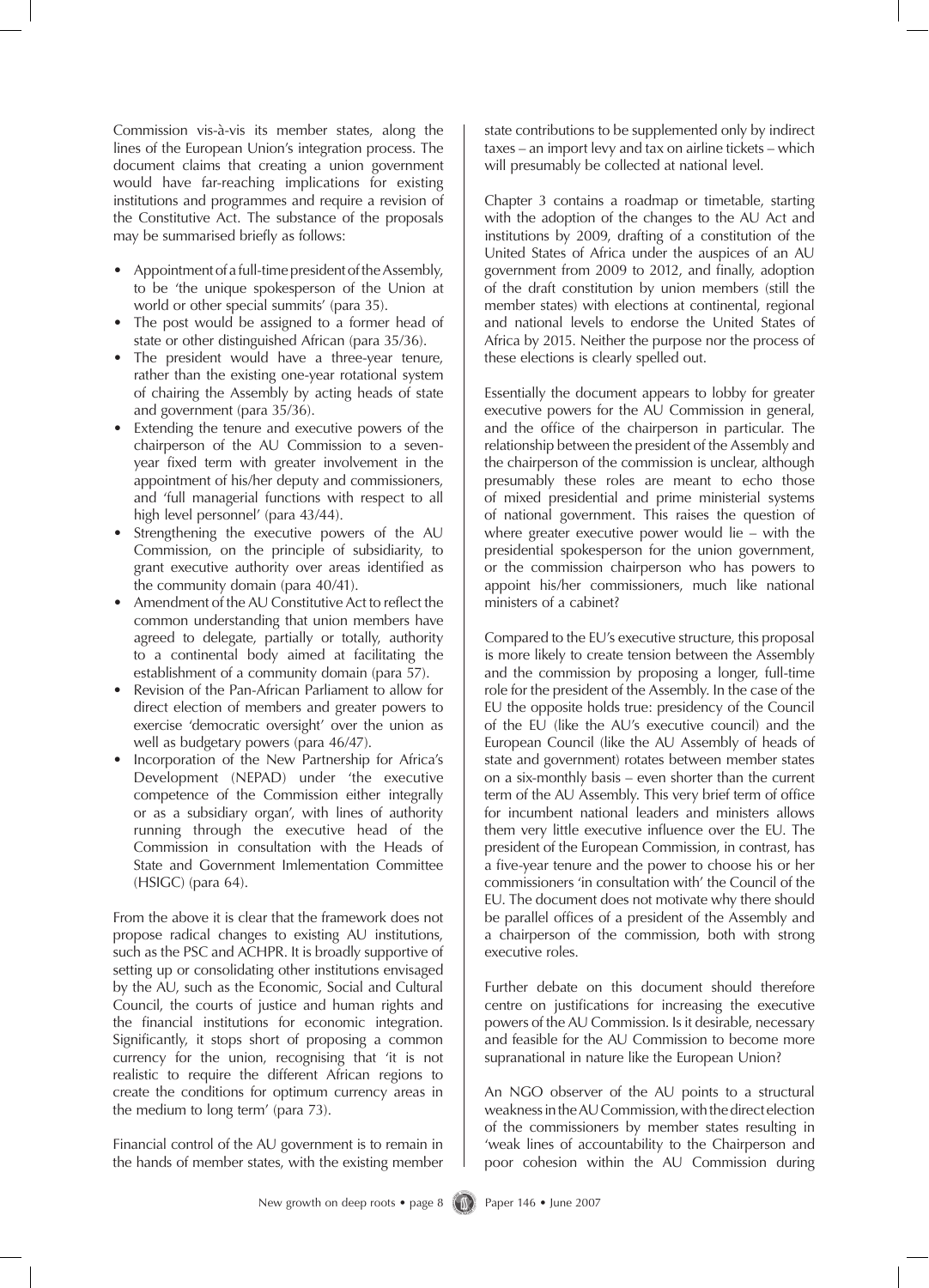Commission vis-à-vis its member states, along the lines of the European Union's integration process. The document claims that creating a union government would have far-reaching implications for existing institutions and programmes and require a revision of the Constitutive Act. The substance of the proposals may be summarised briefly as follows:

- Appointment of a full-time president of the Assembly, to be 'the unique spokesperson of the Union at world or other special summits' (para 35).
- The post would be assigned to a former head of state or other distinguished African (para 35/36).
- The president would have a three-year tenure, rather than the existing one-year rotational system of chairing the Assembly by acting heads of state and government (para 35/36).
- Extending the tenure and executive powers of the chairperson of the AU Commission to a sevenyear fixed term with greater involvement in the appointment of his/her deputy and commissioners, and 'full managerial functions with respect to all high level personnel' (para 43/44).
- Strengthening the executive powers of the AU Commission, on the principle of subsidiarity, to grant executive authority over areas identified as the community domain (para 40/41).
- Amendment of the AU Constitutive Act to reflect the common understanding that union members have agreed to delegate, partially or totally, authority to a continental body aimed at facilitating the establishment of a community domain (para 57).
- Revision of the Pan-African Parliament to allow for direct election of members and greater powers to exercise 'democratic oversight' over the union as well as budgetary powers (para 46/47).
- Incorporation of the New Partnership for Africa's Development (NEPAD) under 'the executive competence of the Commission either integrally or as a subsidiary organ', with lines of authority running through the executive head of the Commission in consultation with the Heads of State and Government Imlementation Committee (HSIGC) (para 64).

From the above it is clear that the framework does not propose radical changes to existing AU institutions, such as the PSC and ACHPR. It is broadly supportive of setting up or consolidating other institutions envisaged by the AU, such as the Economic, Social and Cultural Council, the courts of justice and human rights and the financial institutions for economic integration. Significantly, it stops short of proposing a common currency for the union, recognising that 'it is not realistic to require the different African regions to create the conditions for optimum currency areas in the medium to long term' (para 73).

Financial control of the AU government is to remain in the hands of member states, with the existing member state contributions to be supplemented only by indirect taxes – an import levy and tax on airline tickets – which will presumably be collected at national level.

Chapter 3 contains a roadmap or timetable, starting with the adoption of the changes to the AU Act and institutions by 2009, drafting of a constitution of the United States of Africa under the auspices of an AU government from 2009 to 2012, and finally, adoption of the draft constitution by union members (still the member states) with elections at continental, regional and national levels to endorse the United States of Africa by 2015. Neither the purpose nor the process of these elections is clearly spelled out.

Essentially the document appears to lobby for greater executive powers for the AU Commission in general, and the office of the chairperson in particular. The relationship between the president of the Assembly and the chairperson of the commission is unclear, although presumably these roles are meant to echo those of mixed presidential and prime ministerial systems of national government. This raises the question of where greater executive power would lie – with the presidential spokesperson for the union government, or the commission chairperson who has powers to appoint his/her commissioners, much like national ministers of a cabinet?

Compared to the EU's executive structure, this proposal is more likely to create tension between the Assembly and the commission by proposing a longer, full-time role for the president of the Assembly. In the case of the EU the opposite holds true: presidency of the Council of the EU (like the AU's executive council) and the European Council (like the AU Assembly of heads of state and government) rotates between member states on a six-monthly basis – even shorter than the current term of the AU Assembly. This very brief term of office for incumbent national leaders and ministers allows them very little executive influence over the EU. The president of the European Commission, in contrast, has a five-year tenure and the power to choose his or her commissioners 'in consultation with' the Council of the EU. The document does not motivate why there should be parallel offices of a president of the Assembly and a chairperson of the commission, both with strong executive roles.

Further debate on this document should therefore centre on justifications for increasing the executive powers of the AU Commission. Is it desirable, necessary and feasible for the AU Commission to become more supranational in nature like the European Union?

An NGO observer of the AU points to a structural weakness in the AU Commission, with the direct election of the commissioners by member states resulting in 'weak lines of accountability to the Chairperson and poor cohesion within the AU Commission during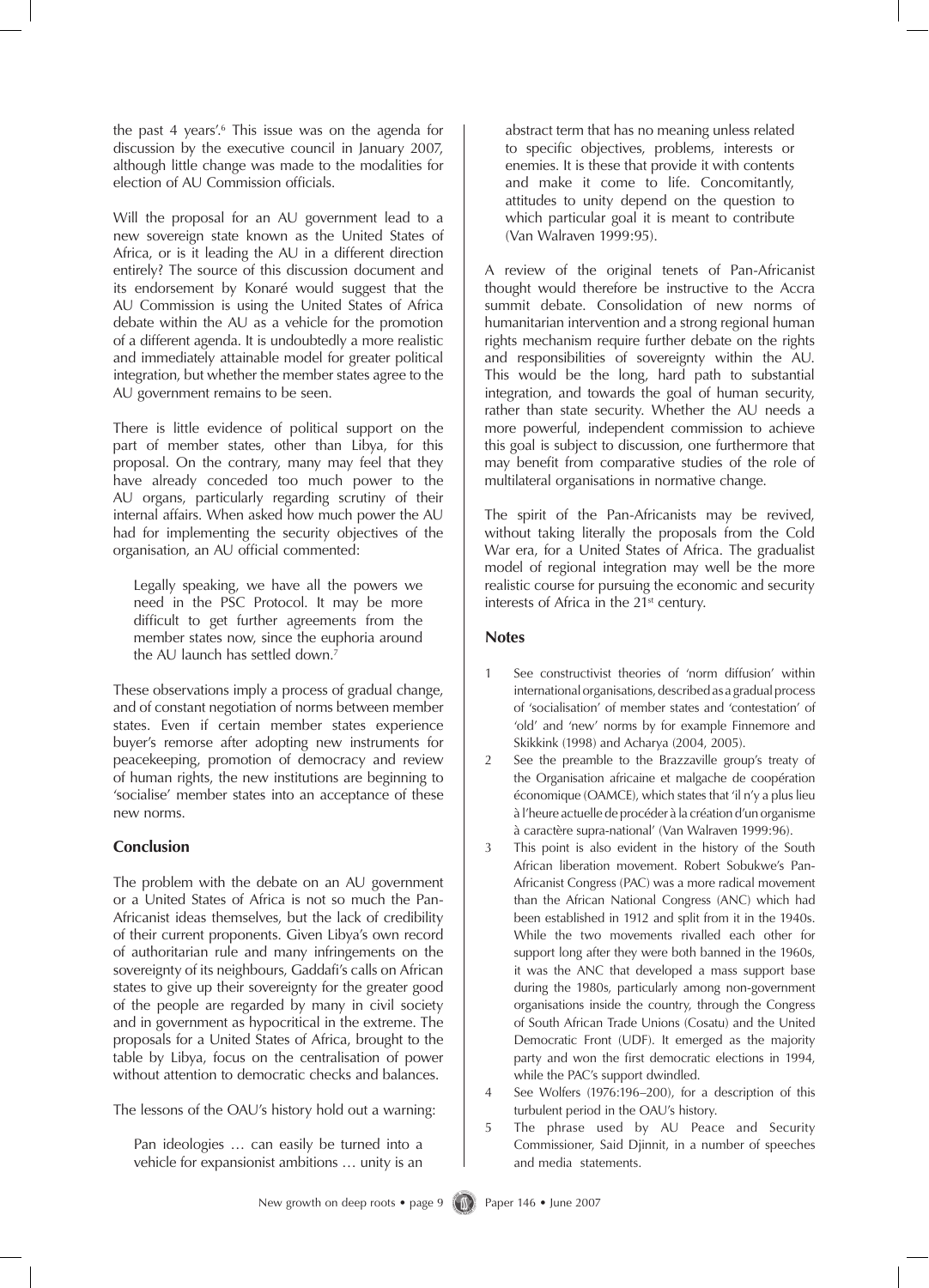the past 4 years'.<sup>6</sup> This issue was on the agenda for discussion by the executive council in January 2007, although little change was made to the modalities for election of AU Commission officials.

Will the proposal for an AU government lead to a new sovereign state known as the United States of Africa, or is it leading the AU in a different direction entirely? The source of this discussion document and its endorsement by Konaré would suggest that the AU Commission is using the United States of Africa debate within the AU as a vehicle for the promotion of a different agenda. It is undoubtedly a more realistic and immediately attainable model for greater political integration, but whether the member states agree to the AU government remains to be seen.

There is little evidence of political support on the part of member states, other than Libya, for this proposal. On the contrary, many may feel that they have already conceded too much power to the AU organs, particularly regarding scrutiny of their internal affairs. When asked how much power the AU had for implementing the security objectives of the organisation, an AU official commented:

Legally speaking, we have all the powers we need in the PSC Protocol. It may be more difficult to get further agreements from the member states now, since the euphoria around the AU launch has settled down.<sup>7</sup>

These observations imply a process of gradual change, and of constant negotiation of norms between member states. Even if certain member states experience buyer's remorse after adopting new instruments for peacekeeping, promotion of democracy and review of human rights, the new institutions are beginning to 'socialise' member states into an acceptance of these new norms.

#### **Conclusion**

The problem with the debate on an AU government or a United States of Africa is not so much the Pan-Africanist ideas themselves, but the lack of credibility of their current proponents. Given Libya's own record of authoritarian rule and many infringements on the sovereignty of its neighbours, Gaddafi's calls on African states to give up their sovereignty for the greater good of the people are regarded by many in civil society and in government as hypocritical in the extreme. The proposals for a United States of Africa, brought to the table by Libya, focus on the centralisation of power without attention to democratic checks and balances.

The lessons of the OAU's history hold out a warning:

Pan ideologies … can easily be turned into a vehicle for expansionist ambitions … unity is an

abstract term that has no meaning unless related to specific objectives, problems, interests or enemies. It is these that provide it with contents and make it come to life. Concomitantly, attitudes to unity depend on the question to which particular goal it is meant to contribute (Van Walraven 1999:95).

A review of the original tenets of Pan-Africanist thought would therefore be instructive to the Accra summit debate. Consolidation of new norms of humanitarian intervention and a strong regional human rights mechanism require further debate on the rights and responsibilities of sovereignty within the AU. This would be the long, hard path to substantial integration, and towards the goal of human security, rather than state security. Whether the AU needs a more powerful, independent commission to achieve this goal is subject to discussion, one furthermore that may benefit from comparative studies of the role of multilateral organisations in normative change.

The spirit of the Pan-Africanists may be revived, without taking literally the proposals from the Cold War era, for a United States of Africa. The gradualist model of regional integration may well be the more realistic course for pursuing the economic and security interests of Africa in the 21st century.

#### **Notes**

- 1 See constructivist theories of 'norm diffusion' within international organisations, described as a gradual process of 'socialisation' of member states and 'contestation' of 'old' and 'new' norms by for example Finnemore and Skikkink (1998) and Acharya (2004, 2005).
- 2 See the preamble to the Brazzaville group's treaty of the Organisation africaine et malgache de coopération économique (OAMCE), which states that 'il n'y a plus lieu à l'heure actuelle de procéder à la création d'un organisme à caractère supra-national' (Van Walraven 1999:96).
- 3 This point is also evident in the history of the South African liberation movement. Robert Sobukwe's Pan-Africanist Congress (PAC) was a more radical movement than the African National Congress (ANC) which had been established in 1912 and split from it in the 1940s. While the two movements rivalled each other for support long after they were both banned in the 1960s, it was the ANC that developed a mass support base during the 1980s, particularly among non-government organisations inside the country, through the Congress of South African Trade Unions (Cosatu) and the United Democratic Front (UDF). It emerged as the majority party and won the first democratic elections in 1994, while the PAC's support dwindled.
- 4 See Wolfers (1976:196–200), for a description of this turbulent period in the OAU's history.
- 5 The phrase used by AU Peace and Security Commissioner, Said Djinnit, in a number of speeches and media statements.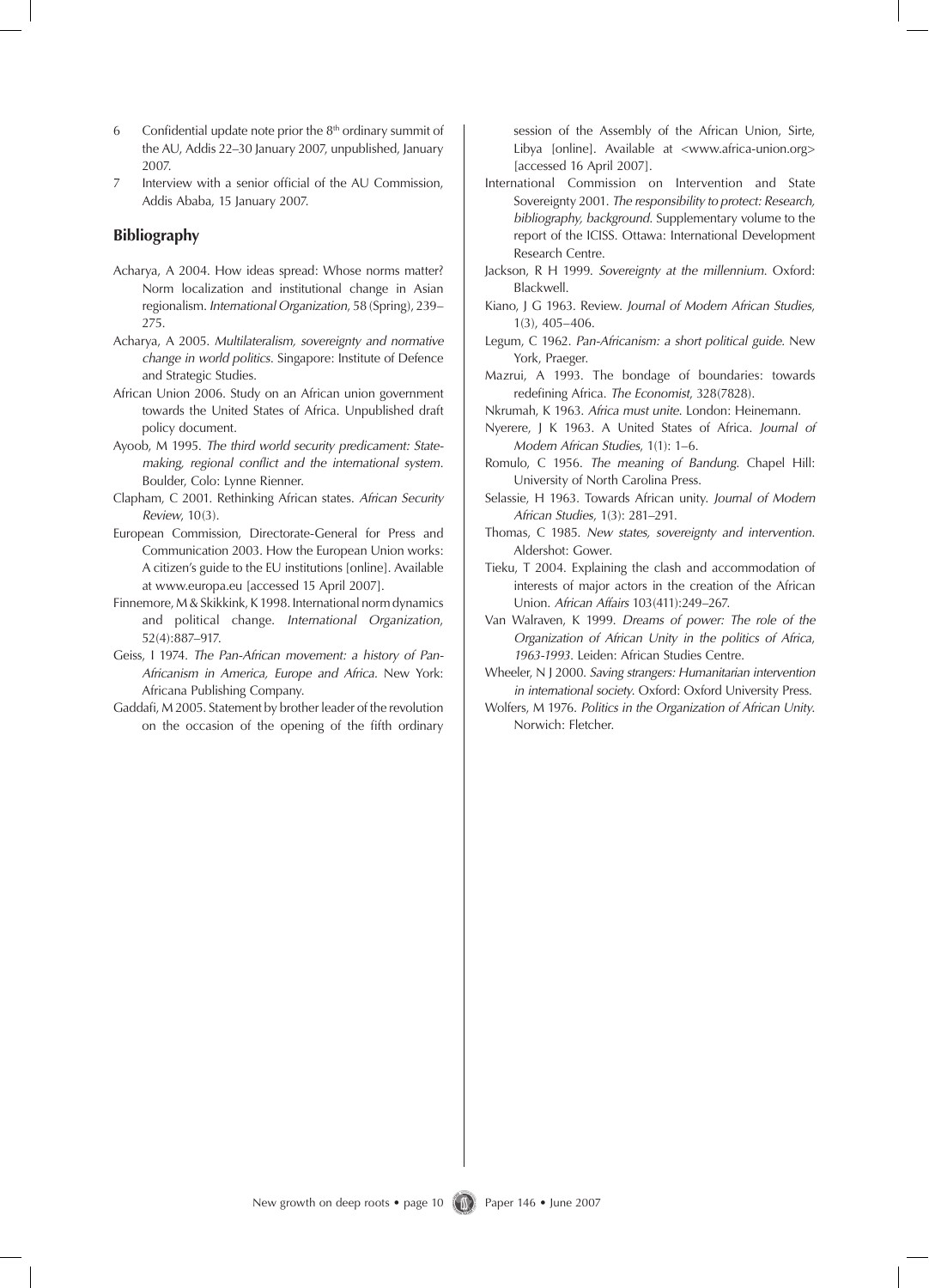- 6 Confidential update note prior the  $8<sup>th</sup>$  ordinary summit of the AU, Addis 22–30 January 2007, unpublished, January 2007.
- 7 Interview with a senior official of the AU Commission, Addis Ababa, 15 January 2007.

#### **Bibliography**

- Acharya, A 2004. How ideas spread: Whose norms matter? Norm localization and institutional change in Asian regionalism. *International Organization*, 58 (Spring), 239– 275.
- Acharya, A 2005. *Multilateralism, sovereignty and normative change in world politics*. Singapore: Institute of Defence and Strategic Studies.
- African Union 2006. Study on an African union government towards the United States of Africa. Unpublished draft policy document.
- Ayoob, M 1995. *The third world security predicament: Statemaking, regional conflict and the international system*. Boulder, Colo: Lynne Rienner.
- Clapham, C 2001. Rethinking African states. *African Security Review*, 10(3).
- European Commission, Directorate-General for Press and Communication 2003. How the European Union works: A citizen's guide to the EU institutions [online]. Available at www.europa.eu [accessed 15 April 2007].
- Finnemore, M & Skikkink, K 1998. International norm dynamics and political change. *International Organization*, 52(4):887–917.
- Geiss, I 1974. *The Pan-African movement: a history of Pan-Africanism in America, Europe and Africa.* New York: Africana Publishing Company.
- Gaddafi, M 2005. Statement by brother leader of the revolution on the occasion of the opening of the fifth ordinary

session of the Assembly of the African Union, Sirte, Libya [online]. Available at <www.africa-union.org> [accessed 16 April 2007].

- International Commission on Intervention and State Sovereignty 2001. *The responsibility to protect: Research, bibliography, background*. Supplementary volume to the report of the ICISS. Ottawa: International Development Research Centre.
- Jackson, R H 1999. *Sovereignty at the millennium*. Oxford: Blackwell.
- Kiano, J G 1963. Review. *Journal of Modern African Studies*, 1(3), 405–406.
- Legum, C 1962. *Pan-Africanism: a short political guide.* New York, Praeger.
- Mazrui, A 1993. The bondage of boundaries: towards redefining Africa. *The Economist*, 328(7828).
- Nkrumah, K 1963. *Africa must unite*. London: Heinemann.
- Nyerere, J K 1963. A United States of Africa. *Journal of Modern African Studies*, 1(1): 1–6.
- Romulo, C 1956. *The meaning of Bandung*. Chapel Hill: University of North Carolina Press.
- Selassie, H 1963. Towards African unity. *Journal of Modern African Studies*, 1(3): 281–291.
- Thomas, C 1985. *New states, sovereignty and intervention*. Aldershot: Gower.
- Tieku, T 2004. Explaining the clash and accommodation of interests of major actors in the creation of the African Union. *African Affairs* 103(411):249–267.
- Van Walraven, K 1999. *Dreams of power: The role of the Organization of African Unity in the politics of Africa*, *1963-1993*. Leiden: African Studies Centre.
- Wheeler, N J 2000. *Saving strangers: Humanitarian intervention in international society*. Oxford: Oxford University Press.
- Wolfers, M 1976. *Politics in the Organization of African Unity*. Norwich: Fletcher.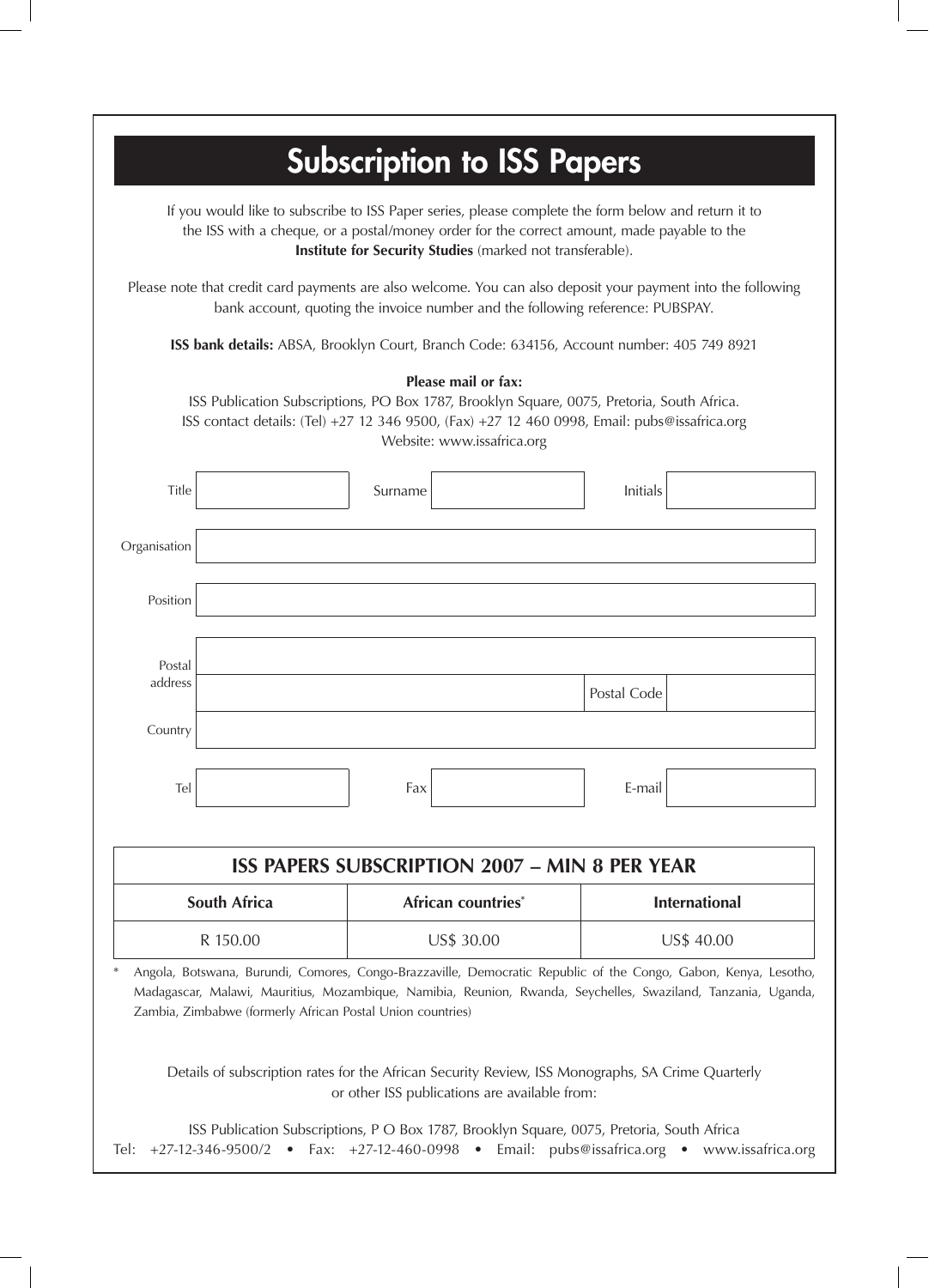| <b>Subscription to ISS Papers</b>                                                                                                                                                                                                                                                                                                                                                                   |  |            |                    |             |                      |  |
|-----------------------------------------------------------------------------------------------------------------------------------------------------------------------------------------------------------------------------------------------------------------------------------------------------------------------------------------------------------------------------------------------------|--|------------|--------------------|-------------|----------------------|--|
| If you would like to subscribe to ISS Paper series, please complete the form below and return it to<br>the ISS with a cheque, or a postal/money order for the correct amount, made payable to the<br>Institute for Security Studies (marked not transferable).                                                                                                                                      |  |            |                    |             |                      |  |
| Please note that credit card payments are also welcome. You can also deposit your payment into the following<br>bank account, quoting the invoice number and the following reference: PUBSPAY.                                                                                                                                                                                                      |  |            |                    |             |                      |  |
| ISS bank details: ABSA, Brooklyn Court, Branch Code: 634156, Account number: 405 749 8921                                                                                                                                                                                                                                                                                                           |  |            |                    |             |                      |  |
| Please mail or fax:<br>ISS Publication Subscriptions, PO Box 1787, Brooklyn Square, 0075, Pretoria, South Africa.<br>ISS contact details: (Tel) +27 12 346 9500, (Fax) +27 12 460 0998, Email: pubs@issafrica.org<br>Website: www.issafrica.org                                                                                                                                                     |  |            |                    |             |                      |  |
| Title                                                                                                                                                                                                                                                                                                                                                                                               |  | Surname    |                    | Initials    |                      |  |
| Organisation                                                                                                                                                                                                                                                                                                                                                                                        |  |            |                    |             |                      |  |
| Position                                                                                                                                                                                                                                                                                                                                                                                            |  |            |                    |             |                      |  |
| Postal<br>address                                                                                                                                                                                                                                                                                                                                                                                   |  |            |                    | Postal Code |                      |  |
| Country                                                                                                                                                                                                                                                                                                                                                                                             |  |            |                    |             |                      |  |
| Tel                                                                                                                                                                                                                                                                                                                                                                                                 |  | Fax        |                    | E-mail      |                      |  |
| <b>ISS PAPERS SUBSCRIPTION 2007 - MIN 8 PER YEAR</b>                                                                                                                                                                                                                                                                                                                                                |  |            |                    |             |                      |  |
| South Africa                                                                                                                                                                                                                                                                                                                                                                                        |  |            | African countries* |             | <b>International</b> |  |
| R 150.00                                                                                                                                                                                                                                                                                                                                                                                            |  | US\$ 30.00 |                    | US\$ 40.00  |                      |  |
| Angola, Botswana, Burundi, Comores, Congo-Brazzaville, Democratic Republic of the Congo, Gabon, Kenya, Lesotho,<br>Madagascar, Malawi, Mauritius, Mozambique, Namibia, Reunion, Rwanda, Seychelles, Swaziland, Tanzania, Uganda,<br>Zambia, Zimbabwe (formerly African Postal Union countries)<br>Details of subscription rates for the African Security Review, ISS Monographs, SA Crime Quarterly |  |            |                    |             |                      |  |
| or other ISS publications are available from:<br>ISS Publication Subscriptions, P O Box 1787, Brooklyn Square, 0075, Pretoria, South Africa<br>+27-12-346-9500/2 • Fax: +27-12-460-0998 • Email: pubs@issafrica.org • www.issafrica.org<br>Tel:                                                                                                                                                     |  |            |                    |             |                      |  |
|                                                                                                                                                                                                                                                                                                                                                                                                     |  |            |                    |             |                      |  |